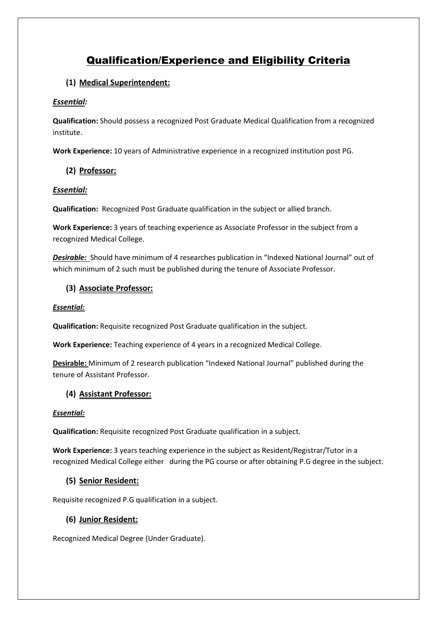# Qualification/Experience and Eligibility Criteria

## **(1) Medical Superintendent:**

### *Essential:*

**Qualification:** Should possess a recognized Post Graduate Medical Qualification from a recognized institute.

**Work Experience:** 10 years of Administrative experience in a recognized institution post PG.

## **(2) Professor:**

#### *Essential:*

**Qualification:** Recognized Post Graduate qualification in the subject or allied branch.

**Work Experience:** 3 years of teaching experience as Associate Professor in the subject from a recognized Medical College.

*Desirable:* Should have minimum of 4 researches publication in "Indexed National Journal" out of which minimum of 2 such must be published during the tenure of Associate Professor.

## **(3) Associate Professor:**

#### *Essential:*

**Qualification:** Requisite recognized Post Graduate qualification in the subject.

**Work Experience:** Teaching experience of 4 years in a recognized Medical College.

**Desirable:** Minimum of 2 research publication "Indexed National Journal" published during the tenure of Assistant Professor.

## **(4) Assistant Professor:**

#### *Essential:*

**Qualification:** Requisite recognized Post Graduate qualification in a subject.

**Work Experience:** 3 years teaching experience in the subject as Resident/Registrar/Tutor in a recognized Medical College either during the PG course or after obtaining P.G degree in the subject.

## **(5) Senior Resident:**

Requisite recognized P.G qualification in a subject.

## **(6) Junior Resident:**

Recognized Medical Degree (Under Graduate).